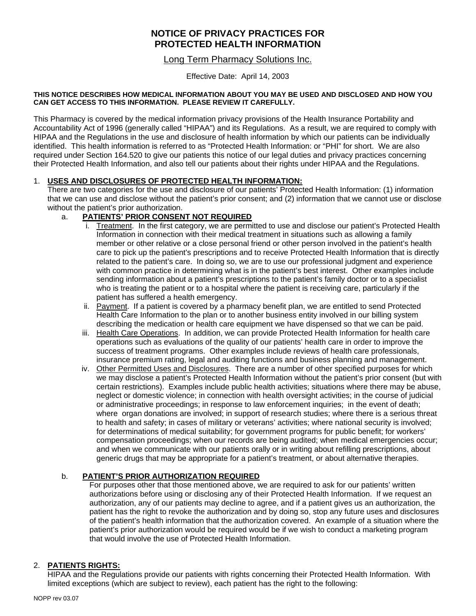# **NOTICE OF PRIVACY PRACTICES FOR PROTECTED HEALTH INFORMATION**

## Long Term Pharmacy Solutions Inc.

Effective Date: April 14, 2003

#### **THIS NOTICE DESCRIBES HOW MEDICAL INFORMATION ABOUT YOU MAY BE USED AND DISCLOSED AND HOW YOU CAN GET ACCESS TO THIS INFORMATION. PLEASE REVIEW IT CAREFULLY.**

This Pharmacy is covered by the medical information privacy provisions of the Health Insurance Portability and Accountability Act of 1996 (generally called "HIPAA") and its Regulations. As a result, we are required to comply with HIPAA and the Regulations in the use and disclosure of health information by which our patients can be individually identified. This health information is referred to as "Protected Health Information: or "PHI" for short. We are also required under Section 164.520 to give our patients this notice of our legal duties and privacy practices concerning their Protected Health Information, and also tell our patients about their rights under HIPAA and the Regulations.

### 1. **USES AND DISCLOSURES OF PROTECTED HEALTH INFORMATION:**

There are two categories for the use and disclosure of our patients' Protected Health Information: (1) information that we can use and disclose without the patient's prior consent; and (2) information that we cannot use or disclose without the patient's prior authorization.

### a. **PATIENTS' PRIOR CONSENT NOT REQUIRED**

- i. Treatment. In the first category, we are permitted to use and disclose our patient's Protected Health Information in connection with their medical treatment in situations such as allowing a family member or other relative or a close personal friend or other person involved in the patient's health care to pick up the patient's prescriptions and to receive Protected Health Information that is directly related to the patient's care. In doing so, we are to use our professional judgment and experience with common practice in determining what is in the patient's best interest. Other examples include sending information about a patient's prescriptions to the patient's family doctor or to a specialist who is treating the patient or to a hospital where the patient is receiving care, particularly if the patient has suffered a health emergency.
- ii. Payment. If a patient is covered by a pharmacy benefit plan, we are entitled to send Protected Health Care Information to the plan or to another business entity involved in our billing system describing the medication or health care equipment we have dispensed so that we can be paid.
- iii. Health Care Operations. In addition, we can provide Protected Health Information for health care operations such as evaluations of the quality of our patients' health care in order to improve the success of treatment programs. Other examples include reviews of health care professionals, insurance premium rating, legal and auditing functions and business planning and management.
- iv. Other Permitted Uses and Disclosures. There are a number of other specified purposes for which we may disclose a patient's Protected Health Information without the patient's prior consent (but with certain restrictions). Examples include public health activities; situations where there may be abuse, neglect or domestic violence; in connection with health oversight activities; in the course of judicial or administrative proceedings; in response to law enforcement inquiries; in the event of death; where organ donations are involved; in support of research studies; where there is a serious threat to health and safety; in cases of military or veterans' activities; where national security is involved; for determinations of medical suitability; for government programs for public benefit; for workers' compensation proceedings; when our records are being audited; when medical emergencies occur; and when we communicate with our patients orally or in writing about refilling prescriptions, about generic drugs that may be appropriate for a patient's treatment, or about alternative therapies.

### b. **PATIENT'S PRIOR AUTHORIZATION REQUIRED**

For purposes other that those mentioned above, we are required to ask for our patients' written authorizations before using or disclosing any of their Protected Health Information. If we request an authorization, any of our patients may decline to agree, and if a patient gives us an authorization, the patient has the right to revoke the authorization and by doing so, stop any future uses and disclosures of the patient's health information that the authorization covered. An example of a situation where the patient's prior authorization would be required would be if we wish to conduct a marketing program that would involve the use of Protected Health Information.

### 2. **PATIENTS RIGHTS:**

HIPAA and the Regulations provide our patients with rights concerning their Protected Health Information. With limited exceptions (which are subject to review), each patient has the right to the following: